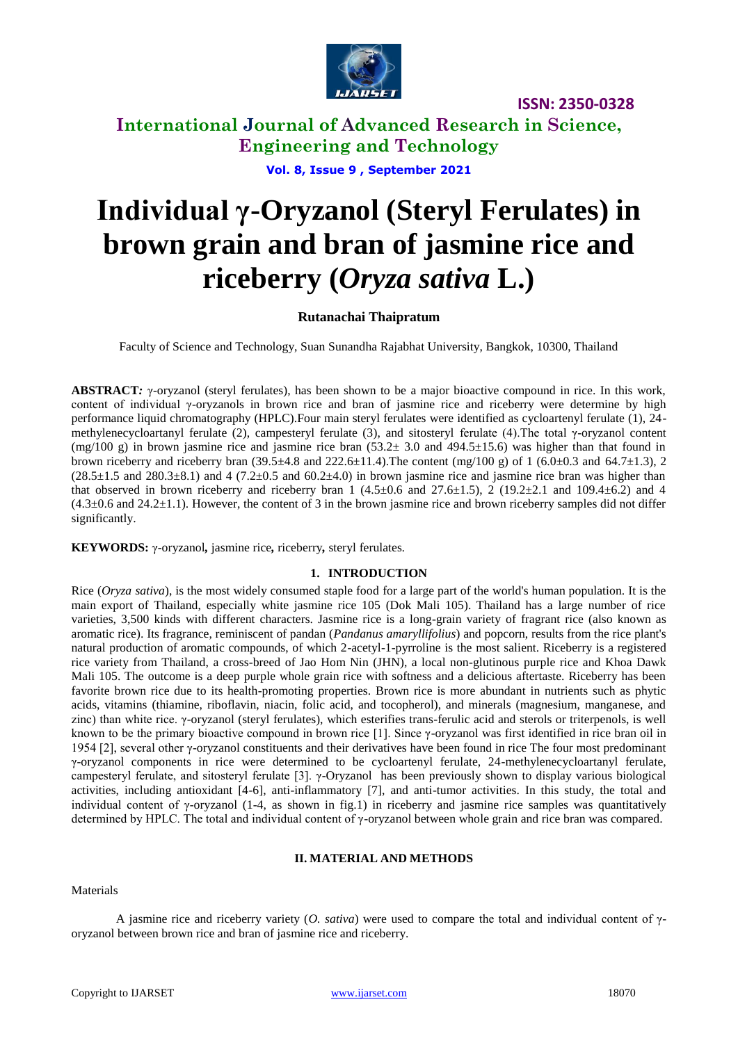

**ISSN: 2350-0328**

**International Journal of Advanced Research in Science, Engineering and Technology**

**Vol. 8, Issue 9 , September 2021**

# **Individual γ-Oryzanol (Steryl Ferulates) in brown grain and bran of jasmine rice and riceberry (***Oryza sativa* **L.)**

### **Rutanachai Thaipratum**

Faculty of Science and Technology, Suan Sunandha Rajabhat University, Bangkok, 10300, Thailand

**ABSTRACT***:* γ-oryzanol (steryl ferulates), has been shown to be a major bioactive compound in rice. In this work, content of individual γ-oryzanols in brown rice and bran of jasmine rice and riceberry were determine by high performance liquid chromatography (HPLC).Four main steryl ferulates were identified as cycloartenyl ferulate (1), 24 methylenecycloartanyl ferulate (2), campesteryl ferulate (3), and sitosteryl ferulate (4).The total γ-oryzanol content (mg/100 g) in brown jasmine rice and jasmine rice bran (53.2± 3.0 and 494.5±15.6) was higher than that found in brown riceberry and riceberry bran  $(39.5\pm4.8$  and  $222.6\pm11.4)$ . The content  $(mg/100 g)$  of 1  $(6.0\pm0.3$  and  $64.7\pm1.3)$ , 2  $(28.5\pm1.5 \text{ and } 280.3\pm8.1)$  and 4  $(7.2\pm0.5 \text{ and } 60.2\pm4.0)$  in brown jasmine rice and jasmine rice bran was higher than that observed in brown riceberry and riceberry bran 1 (4.5 $\pm$ 0.6 and 27.6 $\pm$ 1.5), 2 (19.2 $\pm$ 2.1 and 109.4 $\pm$ 6.2) and 4  $(4.3\pm0.6$  and  $24.2\pm1.1)$ . However, the content of 3 in the brown jasmine rice and brown riceberry samples did not differ significantly.

**KEYWORDS:** γ-oryzanol*,* jasmine rice*,* riceberry*,* steryl ferulates*.*

### **1. INTRODUCTION**

Rice (*Oryza sativa*), is the most widely consumed staple food for a large part of the world's human population. It is the main export of Thailand, especially white jasmine rice 105 (Dok Mali 105). Thailand has a large number of rice varieties, 3,500 kinds with different characters. Jasmine rice is a long-grain variety of fragrant rice (also known as aromatic rice). Its fragrance, reminiscent of pandan (*Pandanus amaryllifolius*) and popcorn, results from the rice plant's natural production of aromatic compounds, of which 2-acetyl-1-pyrroline is the most salient. Riceberry is a registered rice variety from Thailand, a cross-breed of Jao Hom Nin (JHN), a local non-glutinous purple rice and Khoa Dawk Mali 105. The outcome is a deep purple whole grain rice with softness and a delicious aftertaste. Riceberry has been favorite brown rice due to its health-promoting properties. Brown rice is more abundant in nutrients such as phytic acids, vitamins (thiamine, riboflavin, niacin, folic acid, and tocopherol), and minerals (magnesium, manganese, and zinc) than white rice. γ-oryzanol (steryl ferulates), which esterifies trans-ferulic acid and sterols or triterpenols, is well known to be the primary bioactive compound in brown rice [1]. Since γ-oryzanol was first identified in rice bran oil in 1954 [2], several other γ-oryzanol constituents and their derivatives have been found in rice The four most predominant γ-oryzanol components in rice were determined to be cycloartenyl ferulate, 24-methylenecycloartanyl ferulate, campesteryl ferulate, and sitosteryl ferulate [3]. γ-Oryzanol has been previously shown to display various biological activities, including antioxidant [4-6], anti-inflammatory [7], and anti-tumor activities. In this study, the total and individual content of γ-oryzanol (1-4, as shown in fig.1) in riceberry and jasmine rice samples was quantitatively determined by HPLC. The total and individual content of γ-oryzanol between whole grain and rice bran was compared.

### **II. MATERIAL AND METHODS**

Materials

A jasmine rice and riceberry variety (*O. sativa*) were used to compare the total and individual content of γoryzanol between brown rice and bran of jasmine rice and riceberry.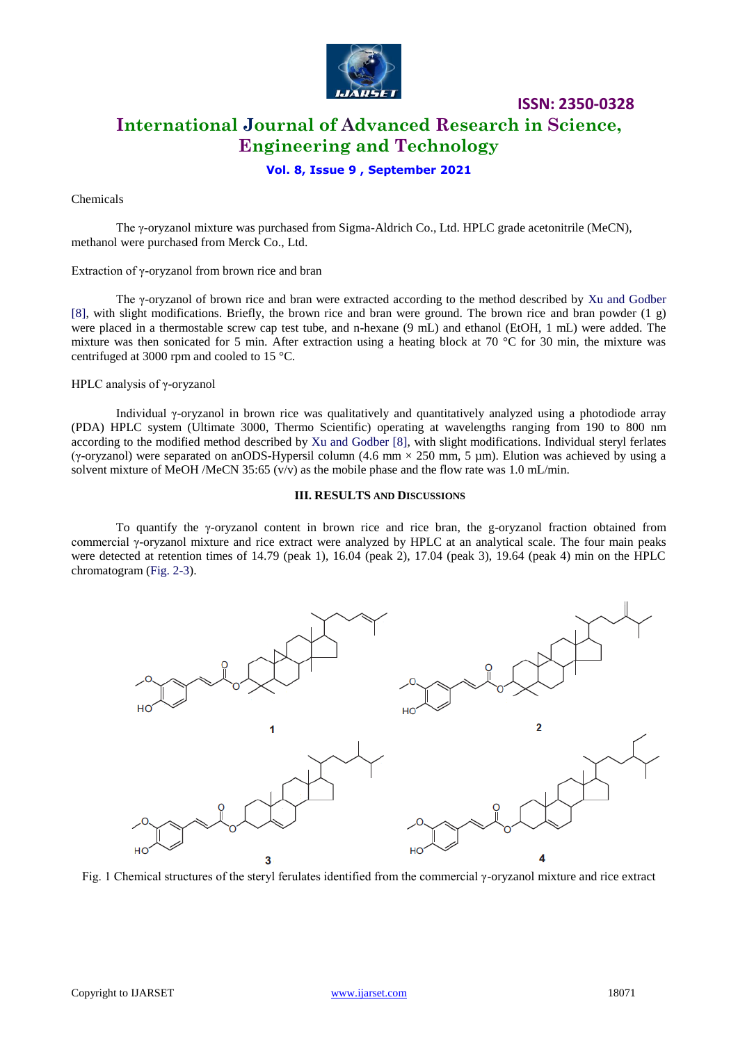

## **International Journal of Advanced Research in Science, Engineering and Technology**

**ISSN: 2350-0328**

### **Vol. 8, Issue 9 , September 2021**

### Chemicals

The γ-oryzanol mixture was purchased from Sigma-Aldrich Co., Ltd. HPLC grade acetonitrile (MeCN), methanol were purchased from Merck Co., Ltd.

Extraction of γ-oryzanol from brown rice and bran

The γ-oryzanol of brown rice and bran were extracted according to the method described by Xu and Godber [8], with slight modifications. Briefly, the brown rice and bran were ground. The brown rice and bran powder (1 g) were placed in a thermostable screw cap test tube, and n-hexane (9 mL) and ethanol (EtOH, 1 mL) were added. The mixture was then sonicated for 5 min. After extraction using a heating block at 70  $\degree$ C for 30 min, the mixture was centrifuged at 3000 rpm and cooled to 15 °C.

HPLC analysis of γ-oryzanol

Individual γ-oryzanol in brown rice was qualitatively and quantitatively analyzed using a photodiode array (PDA) HPLC system (Ultimate 3000, Thermo Scientific) operating at wavelengths ranging from 190 to 800 nm according to the modified method described by Xu and Godber [8], with slight modifications. Individual steryl ferlates (γ-oryzanol) were separated on anODS-Hypersil column (4.6 mm  $\times$  250 mm, 5 um). Elution was achieved by using a solvent mixture of MeOH /MeCN 35:65 ( $v/v$ ) as the mobile phase and the flow rate was 1.0 mL/min.

#### **III. RESULTS AND DISCUSSIONS**

To quantify the γ-oryzanol content in brown rice and rice bran, the g-oryzanol fraction obtained from commercial γ-oryzanol mixture and rice extract were analyzed by HPLC at an analytical scale. The four main peaks were detected at retention times of 14.79 (peak 1), 16.04 (peak 2), 17.04 (peak 3), 19.64 (peak 4) min on the HPLC chromatogram (Fig. 2-3).



Fig. 1 Chemical structures of the steryl ferulates identified from the commercial γ-oryzanol mixture and rice extract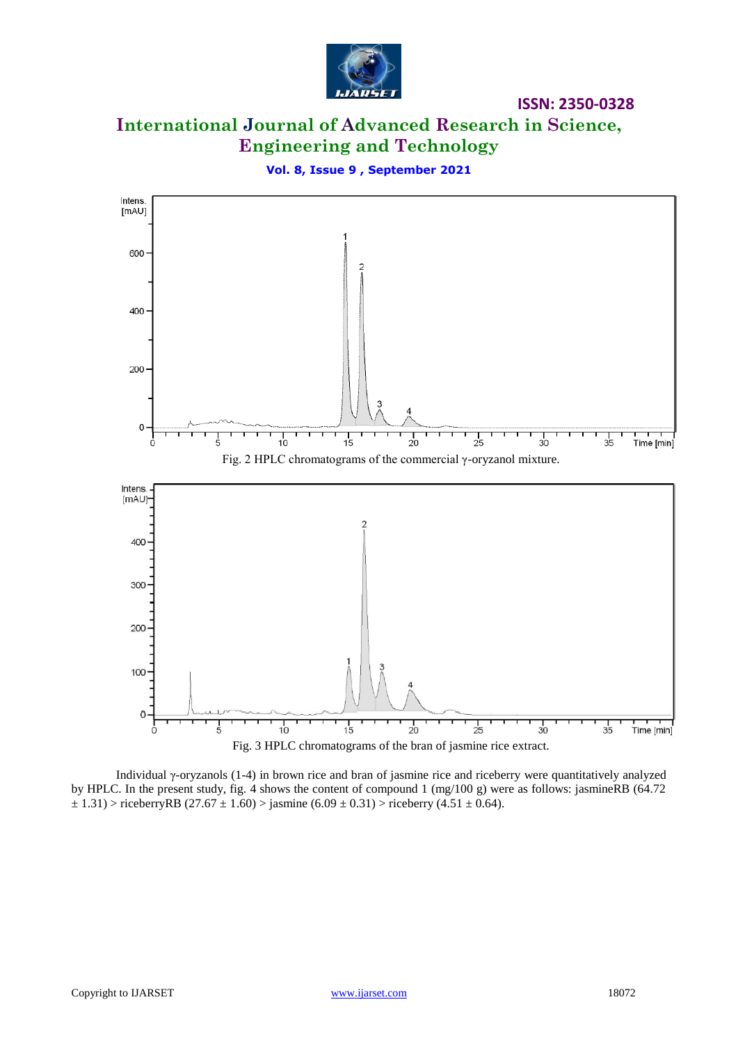![](_page_2_Picture_0.jpeg)

## **International Journal of Advanced Research in Science, Engineering and Technology**

**ISSN: 2350-0328**

![](_page_2_Figure_2.jpeg)

![](_page_2_Figure_3.jpeg)

Individual γ-oryzanols (1-4) in brown rice and bran of jasmine rice and riceberry were quantitatively analyzed by HPLC. In the present study, fig. 4 shows the content of compound 1 (mg/100 g) were as follows: jasmineRB (64.72  $\pm$  1.31) > riceberryRB (27.67  $\pm$  1.60) > jasmine (6.09  $\pm$  0.31) > riceberry (4.51  $\pm$  0.64).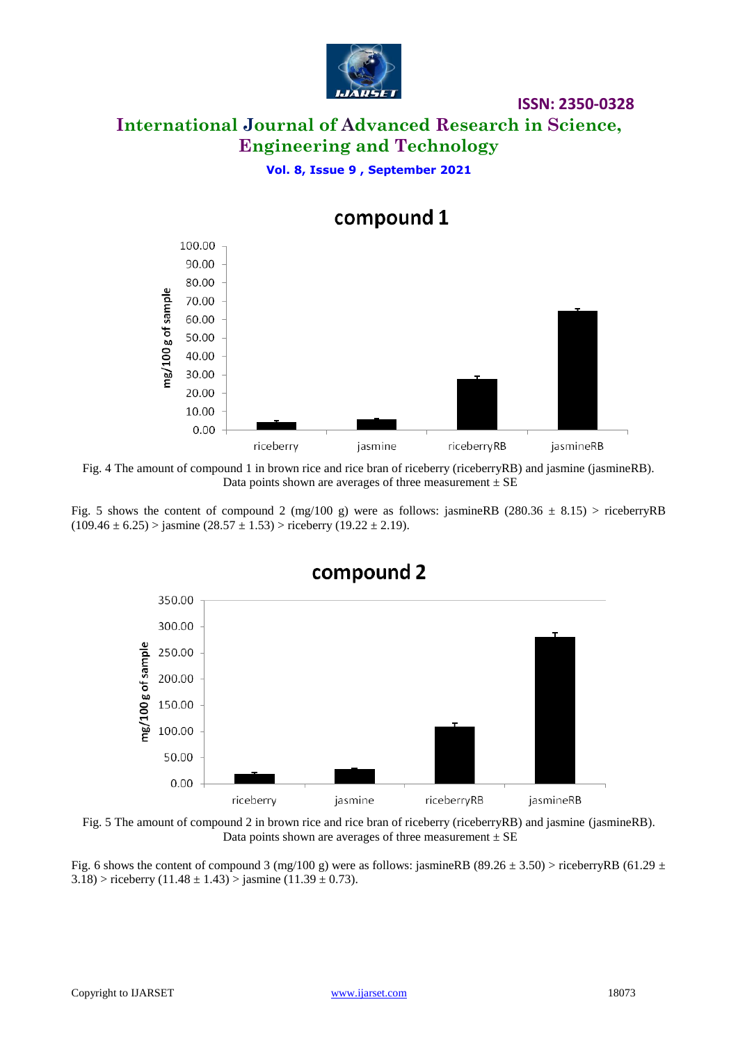![](_page_3_Picture_0.jpeg)

## **International Journal of Advanced Research in Science, Engineering and Technology**

**ISSN: 2350-0328**

**Vol. 8, Issue 9 , September 2021**

![](_page_3_Figure_3.jpeg)

compound 1

Fig. 4 The amount of compound 1 in brown rice and rice bran of riceberry (riceberryRB) and jasmine (jasmineRB). Data points shown are averages of three measurement  $\pm$  SE

Fig. 5 shows the content of compound 2 (mg/100 g) were as follows: jasmineRB (280.36  $\pm$  8.15) > riceberryRB  $(109.46 \pm 6.25)$  > jasmine  $(28.57 \pm 1.53)$  > riceberry  $(19.22 \pm 2.19)$ .

![](_page_3_Figure_7.jpeg)

Fig. 5 The amount of compound 2 in brown rice and rice bran of riceberry (riceberryRB) and jasmine (jasmineRB). Data points shown are averages of three measurement  $\pm$  SE

Fig. 6 shows the content of compound 3 (mg/100 g) were as follows: jasmineRB (89.26  $\pm$  3.50) > riceberryRB (61.29  $\pm$  $3.18$ ) > riceberry (11.48 ± 1.43) > jasmine (11.39 ± 0.73).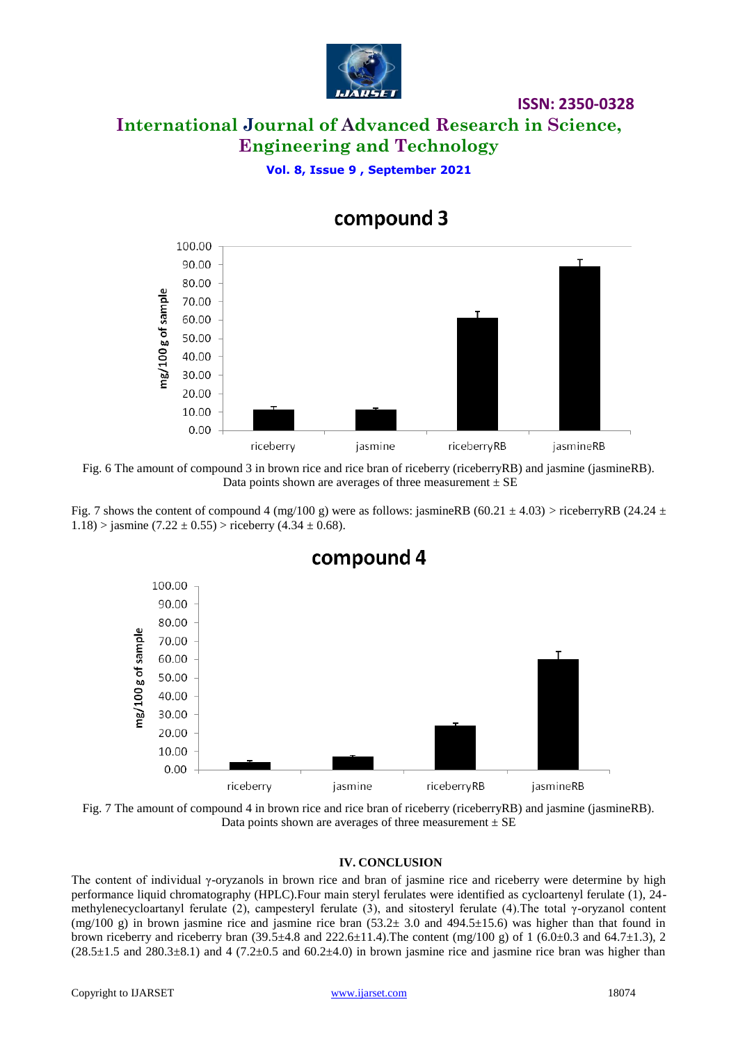![](_page_4_Picture_0.jpeg)

### **ISSN: 2350-0328**

## **International Journal of Advanced Research in Science, Engineering and Technology**

**Vol. 8, Issue 9 , September 2021**

![](_page_4_Figure_4.jpeg)

## compound 3

Fig. 6 The amount of compound 3 in brown rice and rice bran of riceberry (riceberryRB) and jasmine (jasmineRB). Data points shown are averages of three measurement  $\pm$  SE

Fig. 7 shows the content of compound 4 (mg/100 g) were as follows: jasmineRB (60.21  $\pm$  4.03) > riceberryRB (24.24  $\pm$ 1.18) > jasmine  $(7.22 \pm 0.55)$  > riceberry  $(4.34 \pm 0.68)$ .

![](_page_4_Figure_8.jpeg)

compound 4

Fig. 7 The amount of compound 4 in brown rice and rice bran of riceberry (riceberryRB) and jasmine (jasmineRB). Data points shown are averages of three measurement  $\pm$  SE

### **IV. CONCLUSION**

The content of individual γ-oryzanols in brown rice and bran of jasmine rice and riceberry were determine by high performance liquid chromatography (HPLC).Four main steryl ferulates were identified as cycloartenyl ferulate (1), 24 methylenecycloartanyl ferulate (2), campesteryl ferulate (3), and sitosteryl ferulate (4).The total γ-oryzanol content  $(mg/100 g)$  in brown jasmine rice and jasmine rice bran (53.2 $\pm$  3.0 and 494.5 $\pm$ 15.6) was higher than that found in brown riceberry and riceberry bran (39.5 $\pm$ 4.8 and 222.6 $\pm$ 11.4). The content (mg/100 g) of 1 (6.0 $\pm$ 0.3 and 64.7 $\pm$ 1.3), 2  $(28.5\pm1.5 \text{ and } 280.3\pm8.1)$  and 4  $(7.2\pm0.5 \text{ and } 60.2\pm4.0)$  in brown jasmine rice and jasmine rice bran was higher than